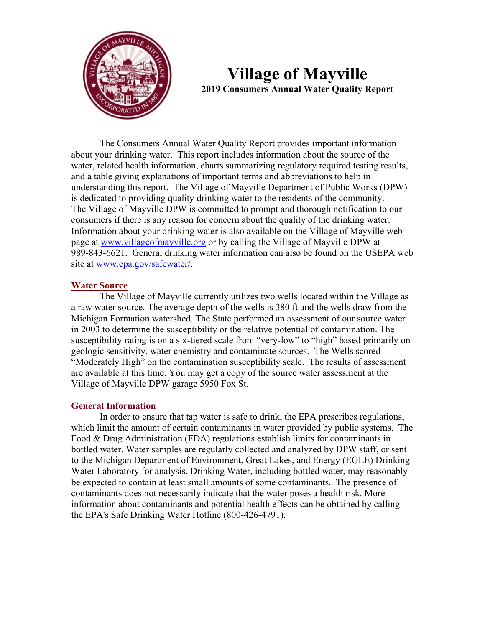

# **Village of Mayville 2019 Consumers Annual Water Quality Report**

 The Consumers Annual Water Quality Report provides important information about your drinking water. This report includes information about the source of the water, related health information, charts summarizing regulatory required testing results, and a table giving explanations of important terms and abbreviations to help in understanding this report. The Village of Mayville Department of Public Works (DPW) is dedicated to providing quality drinking water to the residents of the community. The Village of Mayville DPW is committed to prompt and thorough notification to our consumers if there is any reason for concern about the quality of the drinking water. Information about your drinking water is also available on the Village of Mayville web page at [www.villageofmayville.org](http://www.villageofmayville.org/) or by calling the Village of Mayville DPW at 989-843-6621. General drinking water information can also be found on the USEPA web site at [www.epa.gov/safewater/.](http://www.epa.gov/safewater/)

## **Water Source**

The Village of Mayville currently utilizes two wells located within the Village as a raw water source. The average depth of the wells is 380 ft and the wells draw from the Michigan Formation watershed. The State performed an assessment of our source water in 2003 to determine the susceptibility or the relative potential of contamination. The susceptibility rating is on a six-tiered scale from "very-low" to "high" based primarily on geologic sensitivity, water chemistry and contaminate sources. The Wells scored "Moderately High" on the contamination susceptibility scale. The results of assessment are available at this time. You may get a copy of the source water assessment at the Village of Mayville DPW garage 5950 Fox St.

#### **General Information**

In order to ensure that tap water is safe to drink, the EPA prescribes regulations, which limit the amount of certain contaminants in water provided by public systems. The Food & Drug Administration (FDA) regulations establish limits for contaminants in bottled water. Water samples are regularly collected and analyzed by DPW staff, or sent to the Michigan Department of Environment, Great Lakes, and Energy (EGLE) Drinking Water Laboratory for analysis. Drinking Water, including bottled water, may reasonably be expected to contain at least small amounts of some contaminants. The presence of contaminants does not necessarily indicate that the water poses a health risk. More information about contaminants and potential health effects can be obtained by calling the EPA's Safe Drinking Water Hotline (800-426-4791).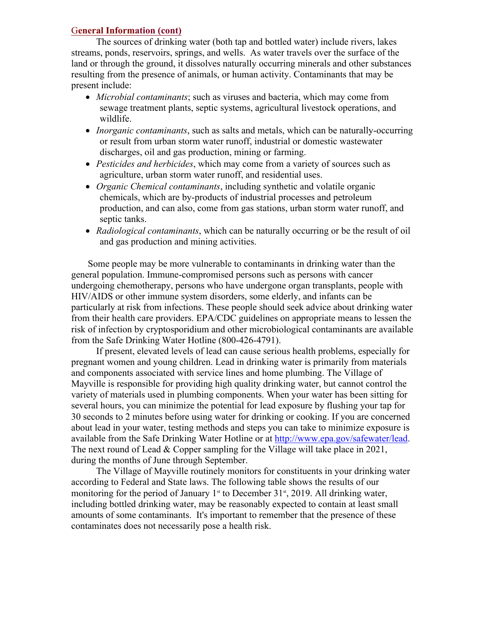## G**eneral Information (cont)**

The sources of drinking water (both tap and bottled water) include rivers, lakes streams, ponds, reservoirs, springs, and wells. As water travels over the surface of the land or through the ground, it dissolves naturally occurring minerals and other substances resulting from the presence of animals, or human activity. Contaminants that may be present include:

- *Microbial contaminants*; such as viruses and bacteria, which may come from sewage treatment plants, septic systems, agricultural livestock operations, and wildlife.
- *Inorganic contaminants*, such as salts and metals, which can be naturally-occurring or result from urban storm water runoff, industrial or domestic wastewater discharges, oil and gas production, mining or farming.
- *Pesticides and herbicides*, which may come from a variety of sources such as agriculture, urban storm water runoff, and residential uses.
- *Organic Chemical contaminants*, including synthetic and volatile organic chemicals, which are by-products of industrial processes and petroleum production, and can also, come from gas stations, urban storm water runoff, and septic tanks.
- *Radiological contaminants*, which can be naturally occurring or be the result of oil and gas production and mining activities.

 Some people may be more vulnerable to contaminants in drinking water than the general population. Immune-compromised persons such as persons with cancer undergoing chemotherapy, persons who have undergone organ transplants, people with HIV/AIDS or other immune system disorders, some elderly, and infants can be particularly at risk from infections. These people should seek advice about drinking water from their health care providers. EPA/CDC guidelines on appropriate means to lessen the risk of infection by cryptosporidium and other microbiological contaminants are available from the Safe Drinking Water Hotline (800-426-4791).

If present, elevated levels of lead can cause serious health problems, especially for pregnant women and young children. Lead in drinking water is primarily from materials and components associated with service lines and home plumbing. The Village of Mayville is responsible for providing high quality drinking water, but cannot control the variety of materials used in plumbing components. When your water has been sitting for several hours, you can minimize the potential for lead exposure by flushing your tap for 30 seconds to 2 minutes before using water for drinking or cooking. If you are concerned about lead in your water, testing methods and steps you can take to minimize exposure is available from the Safe Drinking Water Hotline or at [http://www.epa.gov/safewater/lead.](http://www.epa.gov/safewater/lead)<br>The next round of Lead & Copper sampling for the Village will take place in 2021, during the months of June through September.

The Village of Mayville routinely monitors for constituents in your drinking water according to Federal and State laws. The following table shows the results of our monitoring for the period of January 1<sup>st</sup> to December 31<sup>st</sup>, 2019. All drinking water, including bottled drinking water, may be reasonably expected to contain at least small amounts of some contaminants. It's important to remember that the presence of these contaminates does not necessarily pose a health risk.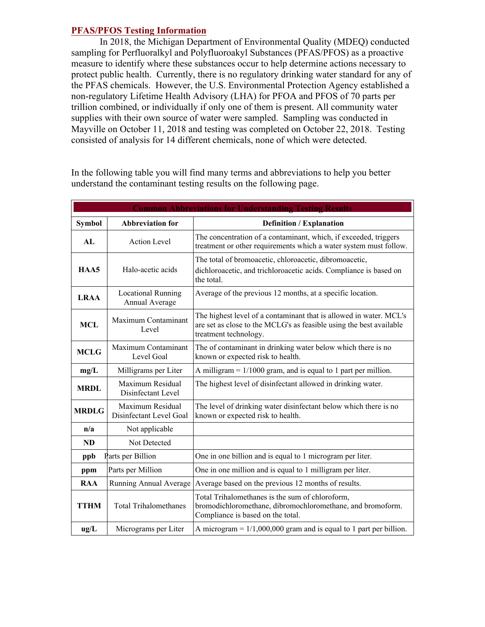## **PFAS/PFOS Testing Information**

In 2018, the Michigan Department of Environmental Quality (MDEQ) conducted sampling for Perfluoralkyl and Polyfluoroakyl Substances (PFAS/PFOS) as a proactive measure to identify where these substances occur to help determine actions necessary to protect public health. Currently, there is no regulatory drinking water standard for any of the PFAS chemicals. However, the U.S. Environmental Protection Agency established a non-regulatory Lifetime Health Advisory (LHA) for PFOA and PFOS of 70 parts per trillion combined, or individually if only one of them is present. All community water supplies with their own source of water were sampled. Sampling was conducted in Mayville on October 11, 2018 and testing was completed on October 22, 2018. Testing consisted of analysis for 14 different chemicals, none of which were detected.

|               |                                             | <b>Common Abbreviations for Understanding Testing Results</b>                                                                                                      |  |  |
|---------------|---------------------------------------------|--------------------------------------------------------------------------------------------------------------------------------------------------------------------|--|--|
| <b>Symbol</b> | <b>Abbreviation for</b>                     | <b>Definition / Explanation</b>                                                                                                                                    |  |  |
| AL            | <b>Action Level</b>                         | The concentration of a contaminant, which, if exceeded, triggers<br>treatment or other requirements which a water system must follow.                              |  |  |
| HAA5          | Halo-acetic acids                           | The total of bromoacetic, chloroacetic, dibromoacetic,<br>dichloroacetic, and trichloroacetic acids. Compliance is based on<br>the total.                          |  |  |
| <b>LRAA</b>   | <b>Locational Running</b><br>Annual Average | Average of the previous 12 months, at a specific location.                                                                                                         |  |  |
| <b>MCL</b>    | Maximum Contaminant<br>Level                | The highest level of a contaminant that is allowed in water. MCL's<br>are set as close to the MCLG's as feasible using the best available<br>treatment technology. |  |  |
| <b>MCLG</b>   | Maximum Contaminant<br>Level Goal           | The of contaminant in drinking water below which there is no<br>known or expected risk to health.                                                                  |  |  |
| mg/L          | Milligrams per Liter                        | A milligram $= 1/1000$ gram, and is equal to 1 part per million.                                                                                                   |  |  |
| <b>MRDL</b>   | Maximum Residual<br>Disinfectant Level      | The highest level of disinfectant allowed in drinking water.                                                                                                       |  |  |
| <b>MRDLG</b>  | Maximum Residual<br>Disinfectant Level Goal | The level of drinking water disinfectant below which there is no<br>known or expected risk to health.                                                              |  |  |
| n/a           | Not applicable                              |                                                                                                                                                                    |  |  |
| <b>ND</b>     | Not Detected                                |                                                                                                                                                                    |  |  |
| ppb           | Parts per Billion                           | One in one billion and is equal to 1 microgram per liter.                                                                                                          |  |  |
| ppm           | Parts per Million                           | One in one million and is equal to 1 milligram per liter.                                                                                                          |  |  |
| <b>RAA</b>    | Running Annual Average                      | Average based on the previous 12 months of results.                                                                                                                |  |  |
| <b>TTHM</b>   | <b>Total Trihalomethanes</b>                | Total Trihalomethanes is the sum of chloroform,<br>bromodichloromethane, dibromochloromethane, and bromoform.<br>Compliance is based on the total.                 |  |  |
| ug/L          | Micrograms per Liter                        | A microgram = $1/1,000,000$ gram and is equal to 1 part per billion.                                                                                               |  |  |

In the following table you will find many terms and abbreviations to help you better understand the contaminant testing results on the following page.